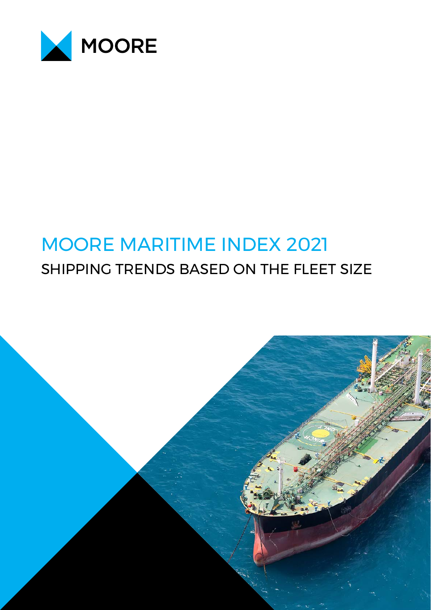

# MOORE MARITIME INDEX 2021 SHIPPING TRENDS BASED ON THE FLEET SIZE

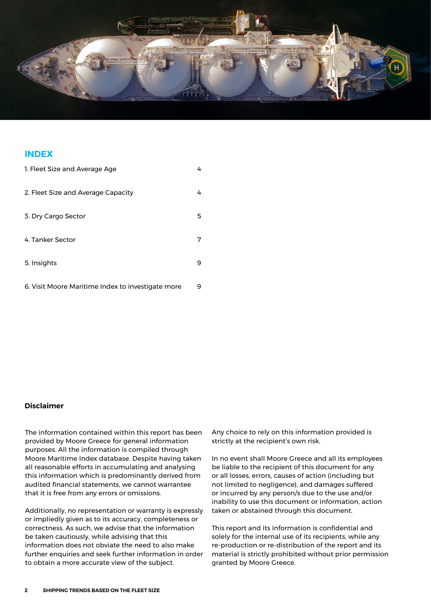

### **INDEX**

| 1. Fleet Size and Average Age                     | 4 |
|---------------------------------------------------|---|
| 2. Fleet Size and Average Capacity                | 4 |
| 3. Dry Cargo Sector                               | 5 |
| 4. Tanker Sector                                  | 7 |
| 5. Insights                                       | 9 |
| 6. Visit Moore Maritime Index to investigate more | 9 |

### **Disclaimer**

The information contained within this report has been provided by Moore Greece for general information purposes. All the information is compiled through Moore Maritime Index database. Despite having taken all reasonable efforts in accumulating and analysing this information which is predominantly derived from audited financial statements, we cannot warrantee that it is free from any errors or omissions.

Additionally, no representation or warranty is expressly or impliedly given as to its accuracy, completeness or correctness. As such, we advise that the information be taken cautiously, while advising that this information does not obviate the need to also make further enquiries and seek further information in order to obtain a more accurate view of the subject.

Any choice to rely on this information provided is strictly at the recipient's own risk.

In no event shall Moore Greece and all its employees be liable to the recipient of this document for any or all losses, errors, causes of action (including but not limited to negligence), and damages suffered or incurred by any person/s due to the use and/or inability to use this document or information, action taken or abstained through this document.

This report and its information is confidential and solely for the internal use of its recipients, while any re-production or re-distribution of the report and its material is strictly prohibited without prior permission granted by Moore Greece.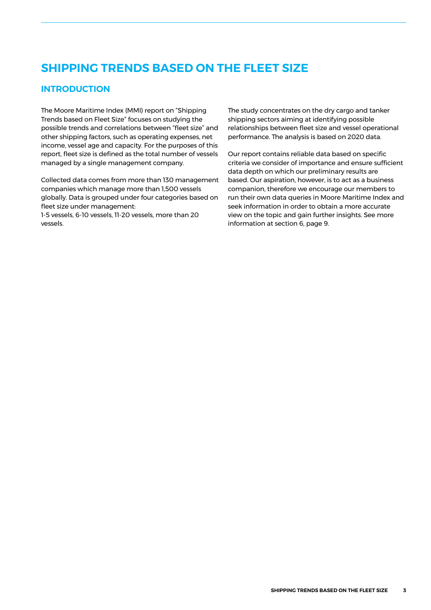# **SHIPPING TRENDS BASED ON THE FLEET SIZE**

### **INTRODUCTION**

The Moore Maritime Index (MMI) report on "Shipping Trends based on Fleet Size" focuses on studying the possible trends and correlations between "fleet size" and other shipping factors, such as operating expenses, net income, vessel age and capacity. For the purposes of this report, fleet size is defined as the total number of vessels managed by a single management company.

Collected data comes from more than 130 management companies which manage more than 1,500 vessels globally. Data is grouped under four categories based on fleet size under management:

1-5 vessels, 6-10 vessels, 11-20 vessels, more than 20 vessels.

The study concentrates on the dry cargo and tanker shipping sectors aiming at identifying possible relationships between fleet size and vessel operational performance. The analysis is based on 2020 data.

Our report contains reliable data based on specific criteria we consider of importance and ensure sufficient data depth on which our preliminary results are based. Our aspiration, however, is to act as a business companion, therefore we encourage our members to run their own data queries in Moore Maritime Index and seek information in order to obtain a more accurate view on the topic and gain further insights. See more information at section 6, page 9.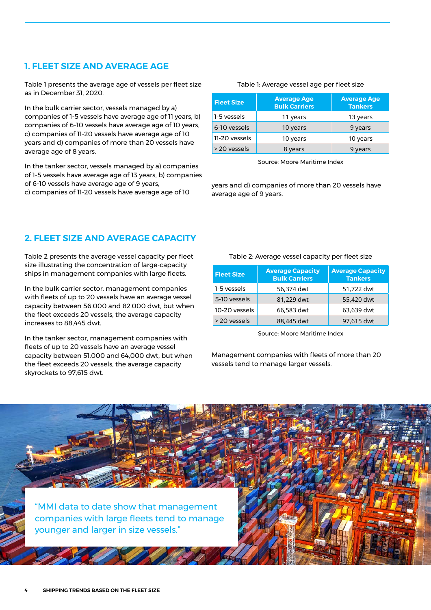### **1. FLEET SIZE AND AVERAGE AGE**

Table 1 presents the average age of vessels per fleet size as in December 31, 2020.

In the bulk carrier sector, vessels managed by a) companies of 1-5 vessels have average age of 11 years, b) companies of 6-10 vessels have average age of 10 years, c) companies of 11-20 vessels have average age of 10 years and d) companies of more than 20 vessels have average age of 8 years.

In the tanker sector, vessels managed by a) companies of 1-5 vessels have average age of 13 years, b) companies of 6-10 vessels have average age of 9 years,

c) companies of 11-20 vessels have average age of 10

#### Table 1: Average vessel age per fleet size

| <b>Fleet Size</b> | <b>Average Age</b><br><b>Bulk Carriers</b> | <b>Average Age</b><br><b>Tankers</b> |
|-------------------|--------------------------------------------|--------------------------------------|
| 1-5 vessels       | 11 years                                   | 13 years                             |
| 6-10 vessels      | 10 years                                   | 9 years                              |
| 11-20 vessels     | 10 years                                   | 10 years                             |
| > 20 yessels      | 8 years                                    | 9 years                              |

Source: Moore Maritime Index

years and d) companies of more than 20 vessels have average age of 9 years.

### **2. FLEET SIZE AND AVERAGE CAPACITY**

Table 2 presents the average vessel capacity per fleet size illustrating the concentration of large-capacity ships in management companies with large fleets.

In the bulk carrier sector, management companies with fleets of up to 20 vessels have an average vessel capacity between 56,000 and 82,000 dwt, but when the fleet exceeds 20 vessels, the average capacity increases to 88,445 dwt.

In the tanker sector, management companies with fleets of up to 20 vessels have an average vessel capacity between 51,000 and 64,000 dwt, but when the fleet exceeds 20 vessels, the average capacity skyrockets to 97,615 dwt.

#### Table 2: Average vessel capacity per fleet size

| <b>Fleet Size</b> | <b>Average Capacity</b><br><b>Bulk Carriers</b> | <b>Average Capacity</b><br><b>Tankers</b> |
|-------------------|-------------------------------------------------|-------------------------------------------|
| 1-5 vessels       | 56,374 dwt                                      | 51,722 dwt                                |
| 5-10 vessels      | 81,229 dwt                                      | 55,420 dwt                                |
| 10-20 vessels     | 66,583 dwt                                      | 63,639 dwt                                |
| > 20 yessels      | 88,445 dwt                                      | 97,615 dwt                                |

Source: Moore Maritime Index

Management companies with fleets of more than 20 vessels tend to manage larger vessels.

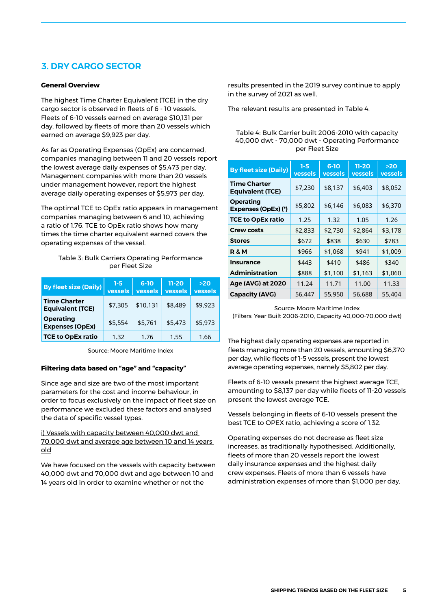### **3. DRY CARGO SECTOR**

#### **General Overview**

The highest Time Charter Equivalent (TCE) in the dry cargo sector is observed in fleets of 6 - 10 vessels. Fleets of 6-10 vessels earned on average \$10,131 per day, followed by fleets of more than 20 vessels which earned on average \$9,923 per day.

As far as Operating Expenses (OpEx) are concerned, companies managing between 11 and 20 vessels report the lowest average daily expenses of \$5,473 per day. Management companies with more than 20 vessels under management however, report the highest average daily operating expenses of \$5,973 per day.

The optimal TCE to OpEx ratio appears in management companies managing between 6 and 10, achieving a ratio of 1.76. TCE to OpEx ratio shows how many times the time charter equivalent earned covers the operating expenses of the vessel.

#### Table 3: Bulk Carriers Operating Performance per Fleet Size

| <b>By fleet size (Daily)</b>                   | $1-5$<br>vessels | $6 - 10$<br>vessels | $11 - 20$<br>vessels | $>20$<br>vessels |
|------------------------------------------------|------------------|---------------------|----------------------|------------------|
| <b>Time Charter</b><br><b>Equivalent (TCE)</b> | \$7,305          | \$10,131            | \$8,489              | \$9,923          |
| Operating<br><b>Expenses (OpEx)</b>            | \$5,554          | \$5,761             | \$5,473              | \$5,973          |
| <b>TCE to OpEx ratio</b>                       | 1.32             | 1.76                | 1.55                 | 1.66             |

Source: Moore Maritime Index

#### **Filtering data based on "age" and "capacity"**

Since age and size are two of the most important parameters for the cost and income behaviour, in order to focus exclusively on the impact of fleet size on performance we excluded these factors and analysed the data of specific vessel types.

i) Vessels with capacity between 40,000 dwt and 70,000 dwt and average age between 10 and 14 years old

We have focused on the vessels with capacity between 40,000 dwt and 70,000 dwt and age between 10 and 14 years old in order to examine whether or not the

results presented in the 2019 survey continue to apply in the survey of 2021 as well.

The relevant results are presented in Table 4.

| Table 4: Bulk Carrier built 2006-2010 with capacity |
|-----------------------------------------------------|
| 40,000 dwt - 70,000 dwt - Operating Performance     |
| per Fleet Size                                      |

| <b>By fleet size (Daily)</b>                   | $1 - 5$<br>vessels | $6 - 10$<br>vessels | $11 - 20$<br>vessels | >20<br>vessels |
|------------------------------------------------|--------------------|---------------------|----------------------|----------------|
| <b>Time Charter</b><br><b>Equivalent (TCE)</b> | \$7,230            | \$8,137             | \$6,403              | \$8,052        |
| <b>Operating</b><br>Expenses (OpEx) (*)        | \$5,802            | \$6,146             | \$6,083              | \$6,370        |
| <b>TCE to OpEx ratio</b>                       | 1.25               | 1.32                | 1.05                 | 1.26           |
| <b>Crew costs</b>                              | \$2,833            | \$2,730             | \$2,864              | \$3,178        |
| <b>Stores</b>                                  | \$672              | \$838               | \$630                | \$783          |
| <b>R&amp;M</b>                                 | \$966              | \$1,068             | \$941                | \$1,009        |
| <b>Insurance</b>                               | \$443              | \$410               | \$486                | \$340          |
| <b>Administration</b>                          | \$888              | \$1,100             | \$1,163              | \$1,060        |
| Age (AVG) at 2020                              | 11.24              | 11.71               | 11.00                | 11.33          |
| <b>Capacity (AVG)</b>                          | 56,447             | 55,950              | 56,688               | 55,404         |

Source: Moore Maritime Index (Filters: Year Built 2006-2010, Capacity 40,000-70,000 dwt)

The highest daily operating expenses are reported in fleets managing more than 20 vessels, amounting \$6,370 per day, while fleets of 1-5 vessels, present the lowest average operating expenses, namely \$5,802 per day.

Fleets of 6-10 vessels present the highest average TCE, amounting to \$8,137 per day while fleets of 11-20 vessels present the lowest average TCE.

Vessels belonging in fleets of 6-10 vessels present the best TCE to OPEX ratio, achieving a score of 1.32.

Operating expenses do not decrease as fleet size increases, as traditionally hypothesised. Additionally, fleets of more than 20 vessels report the lowest daily insurance expenses and the highest daily crew expenses. Fleets of more than 6 vessels have administration expenses of more than \$1,000 per day.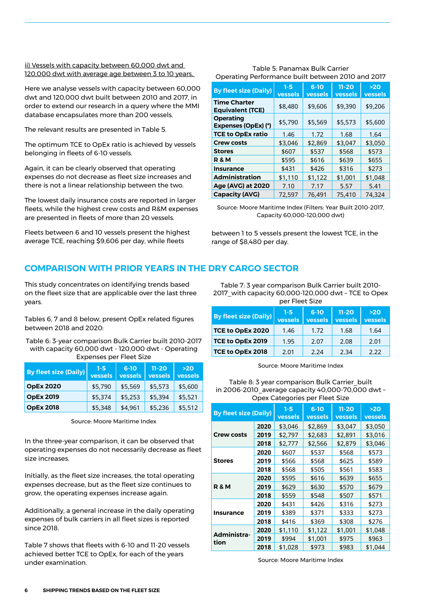#### ii) Vessels with capacity between 60,000 dwt and 120,000 dwt with average age between 3 to 10 years,

Here we analyse vessels with capacity between 60,000 dwt and 120,000 dwt built between 2010 and 2017, in order to extend our research in a query where the MMI database encapsulates more than 200 vessels.

The relevant results are presented in Table 5.

The optimum TCE to OpEx ratio is achieved by vessels belonging in fleets of 6-10 vessels.

Again, it can be clearly observed that operating expenses do not decrease as fleet size increases and there is not a linear relationship between the two.

The lowest daily insurance costs are reported in larger fleets, while the highest crew costs and R&M expenses are presented in fleets of more than 20 vessels.

Fleets between 6 and 10 vessels present the highest average TCE, reaching \$9,606 per day, while fleets

#### Table 5: Panamax Bulk Carrier Operating Performance built between 2010 and 2017

| <b>By fleet size (Daily)</b>                   | $1 - 5$<br>vessels | $6 - 10$<br>vessels | $11 - 20$<br>vessels | >20<br>vessels |
|------------------------------------------------|--------------------|---------------------|----------------------|----------------|
| <b>Time Charter</b><br><b>Equivalent (TCE)</b> | \$8,480            | \$9,606             | \$9,390              | \$9,206        |
| <b>Operating</b><br>Expenses (OpEx) (*)        | \$5,790            | \$5,569             | \$5,573              | \$5,600        |
| <b>TCE to OpEx ratio</b>                       | 1.46               | 1.72                | 1.68                 | 1.64           |
| <b>Crew costs</b>                              | \$3,046            | \$2,869             | \$3,047              | \$3,050        |
| <b>Stores</b>                                  | \$607              | \$537               | \$568                | \$573          |
| <b>R&amp;M</b>                                 | \$595              | \$616               | \$639                | \$655          |
| <b>Insurance</b>                               | \$431              | \$426               | \$316                | \$273          |
| <b>Administration</b>                          | \$1,110            | \$1,122             | \$1,001              | \$1,048        |
| Age (AVG) at 2020                              | 7.10               | 7.17                | 5.57                 | 5.41           |
| <b>Capacity (AVG)</b>                          | 72,597             | 76.491              | 75,410               | 74,324         |

Source: Moore Maritime Index (Filters: Year Built 2010-2017, Capacity 60,000-120,000 dwt)

between 1 to 5 vessels present the lowest TCE, in the range of \$8,480 per day.

### **COMPARISON WITH PRIOR YEARS IN THE DRY CARGO SECTOR**

This study concentrates on identifying trends based on the fleet size that are applicable over the last three years.

Tables 6, 7 and 8 below, present OpEx related figures between 2018 and 2020:

Table 6: 3-year comparison Bulk Carrier built 2010-2017 with capacity 60,000 dwt - 120,000 dwt - Operating Expenses per Fleet Size

| <b>By fleet size (Daily)</b> | $1-5$<br>vessels | $6-10$<br>vessels | $11 - 20$<br>vessels | $>20$<br>vessels |
|------------------------------|------------------|-------------------|----------------------|------------------|
| <b>OpEx 2020</b>             | \$5,790          | \$5,569           | \$5,573              | \$5,600          |
| <b>OpEx 2019</b>             | \$5,374          | \$5,253           | \$5,394              | \$5,521          |
| <b>OpEx 2018</b>             | \$5,348          | \$4,961           | \$5,236              | \$5,512          |

Source: Moore Maritime Index

In the three-year comparison, it can be observed that operating expenses do not necessarily decrease as fleet size increases.

Initially, as the fleet size increases, the total operating expenses decrease, but as the fleet size continues to grow, the operating expenses increase again.

Additionally, a general increase in the daily operating expenses of bulk carriers in all fleet sizes is reported since 2018.

Table 7 shows that fleets with 6-10 and 11-20 vessels achieved better TCE to OpEx, for each of the years under examination.

Table 7: 3 year comparison Bulk Carrier built 2010- 2017\_with capacity 60,000-120,000 dwt – TCE to Opex per Fleet Size

| <b>By fleet size (Daily)</b> | $1 - 5$<br>vessels | $6 - 10$<br>vessels | $11 - 20$<br>vessels | $>20$<br>vessels |
|------------------------------|--------------------|---------------------|----------------------|------------------|
| TCE to OpEx 2020             | 1.46               | 1.72                | 1.68                 | 1.64             |
| TCE to OpEx 2019             | 1.95               | 2.07                | 2.08                 | 2.01             |
| TCE to OpEx 2018             | 2.01               | 2.24                | 2.34                 | 2.22             |

Source: Moore Maritime Index

Table 8: 3 year comparison Bulk Carrier\_built in 2006-2010\_average capacity 40,000-70,000 dwt – Opex Categories per Fleet Size

| <b>By fleet size (Daily)</b> |      | $1 - 5$<br><b>vessels</b> | $6-10$<br><b>vessels</b> | $11 - 20$<br><b>vessels</b> | $>20$<br><b>vessels</b> |
|------------------------------|------|---------------------------|--------------------------|-----------------------------|-------------------------|
|                              | 2020 | \$3,046                   | \$2,869                  | \$3,047                     | \$3,050                 |
| <b>Crew costs</b>            | 2019 | \$2,797                   | \$2,683                  | \$2,891                     | \$3,016                 |
|                              | 2018 | \$2,777                   | \$2,566                  | \$2,879                     | \$3,046                 |
|                              | 2020 | \$607                     | \$537                    | \$568                       | \$573                   |
| <b>Stores</b>                | 2019 | \$566                     | \$568                    | \$625                       | \$589                   |
|                              | 2018 | \$568                     | \$505                    | \$561                       | \$583                   |
|                              | 2020 | \$595                     | \$616                    | \$639                       | \$655                   |
| <b>R&amp;M</b>               | 2019 | \$629                     | \$630                    | \$570                       | \$679                   |
|                              | 2018 | \$559                     | \$548                    | \$507                       | \$571                   |
|                              | 2020 | \$431                     | \$426                    | \$316                       | \$273                   |
| Insurance                    | 2019 | \$389                     | \$371                    | \$333                       | \$273                   |
|                              | 2018 | \$416                     | \$369                    | \$308                       | \$276                   |
|                              | 2020 | \$1,110                   | \$1,122                  | \$1,001                     | \$1,048                 |
| Administra-<br>tion          | 2019 | \$994                     | \$1,001                  | \$975                       | \$963                   |
|                              | 2018 | \$1,028                   | \$973                    | \$983                       | \$1,044                 |

Source: Moore Maritime Index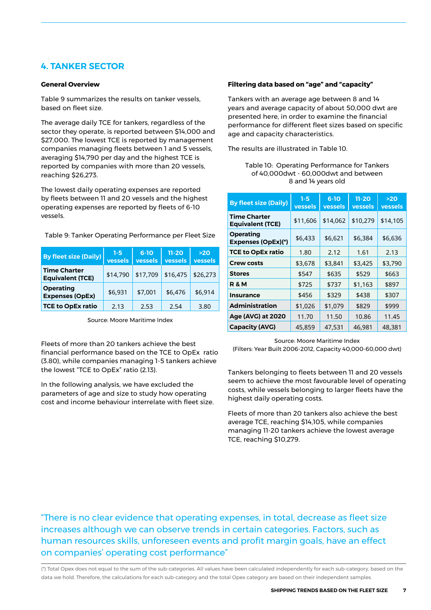### **4. TANKER SECTOR**

#### **General Overview**

Table 9 summarizes the results on tanker vessels, based on fleet size.

The average daily TCE for tankers, regardless of the sector they operate, is reported between \$14,000 and \$27,000. The lowest TCE is reported by management companies managing fleets between 1 and 5 vessels, averaging \$14,790 per day and the highest TCE is reported by companies with more than 20 vessels, reaching \$26,273.

The lowest daily operating expenses are reported by fleets between 11 and 20 vessels and the highest operating expenses are reported by fleets of 6-10 vessels.

Table 9: Tanker Operating Performance per Fleet Size

| <b>By fleet size (Daily)</b>                   | $1 - 5$<br>vessels | $6 - 10$<br>vessels | $11 - 20$<br>vessels | >20<br>vessels |
|------------------------------------------------|--------------------|---------------------|----------------------|----------------|
| <b>Time Charter</b><br><b>Equivalent (TCE)</b> | \$14,790           | \$17,709            | \$16,475             | \$26,273       |
| <b>Operating</b><br><b>Expenses (OpEx)</b>     | \$6,931            | \$7,001             | \$6,476              | \$6,914        |
| <b>TCE to OpEx ratio</b>                       | 2.13               | 2.53                | 2.54                 | 3.80           |

Source: Moore Maritime Index

Fleets of more than 20 tankers achieve the best financial performance based on the TCE to OpEx ratio (3.80), while companies managing 1-5 tankers achieve the lowest "TCE to OpEx" ratio (2.13).

In the following analysis, we have excluded the parameters of age and size to study how operating cost and income behaviour interrelate with fleet size.

#### **Filtering data based on "age" and "capacity"**

Tankers with an average age between 8 and 14 years and average capacity of about 50,000 dwt are presented here, in order to examine the financial performance for different fleet sizes based on specific age and capacity characteristics.

The results are illustrated in Table 10.

| Table 10: Operating Performance for Tankers |
|---------------------------------------------|
| of 40.000dwt - 60.000dwt and between        |
| 8 and 14 years old                          |

| <b>By fleet size (Daily)</b>                   | $1 - 5$<br>vessels | $6-10$<br>vessels | $11 - 20$<br>vessels | >20<br>vessels |
|------------------------------------------------|--------------------|-------------------|----------------------|----------------|
| <b>Time Charter</b><br><b>Equivalent (TCE)</b> | \$11,606           | \$14,062          | \$10,279             | \$14,105       |
| <b>Operating</b><br><b>Expenses (OpEx)(*)</b>  | \$6,433            | \$6,621           | \$6,384              | \$6,636        |
| <b>TCE to OpEx ratio</b>                       | 1.80               | 2.12              | 1.61                 | 2.13           |
| Crew costs                                     | \$3,678            | \$3,841           | \$3,425              | \$3,790        |
| <b>Stores</b>                                  | \$547              | \$635             | \$529                | \$663          |
| R & M                                          | \$725              | \$737             | \$1,163              | \$897          |
| <b>Insurance</b>                               | \$456              | \$329             | \$438                | \$307          |
| <b>Administration</b>                          | \$1,026            | \$1,079           | \$829                | \$999          |
| <b>Age (AVG) at 2020</b>                       | 11.70              | 11.50             | 10.86                | 11.45          |
| <b>Capacity (AVG)</b>                          | 45,859             | 47,531            | 46,981               | 48,381         |

Source: Moore Maritime Index (Filters: Year Built 2006-2012, Capacity 40,000-60,000 dwt)

Tankers belonging to fleets between 11 and 20 vessels seem to achieve the most favourable level of operating costs, while vessels belonging to larger fleets have the highest daily operating costs.

Fleets of more than 20 tankers also achieve the best average TCE, reaching \$14,105, while companies managing 11-20 tankers achieve the lowest average TCE, reaching \$10,279.

"There is no clear evidence that operating expenses, in total, decrease as fleet size increases although we can observe trends in certain categories. Factors, such as human resources skills, unforeseen events and profit margin goals, have an effect on companies' operating cost performance"

(\*) Total Opex does not equal to the sum of the sub-categories. All values have been calculated independently for each sub-category, based on the data we hold. Therefore, the calculations for each sub-category and the total Opex category are based on their independent samples.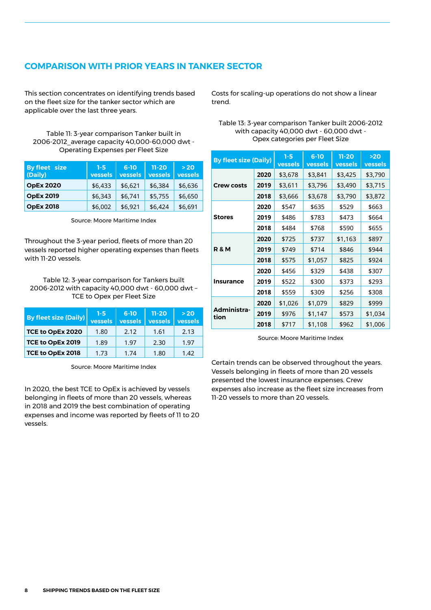### **COMPARISON WITH PRIOR YEARS IN TANKER SECTOR**

This section concentrates on identifying trends based on the fleet size for the tanker sector which are applicable over the last three years.

Table 11: 3-year comparison Tanker built in 2006-2012\_average capacity 40,000-60,000 dwt - Operating Expenses per Fleet Size

| By fleet size<br>(Daily) | $1 - 5$<br>vessels | $6 - 10$<br>vessels | $11 - 20$<br>vessels | >20<br>vessels |
|--------------------------|--------------------|---------------------|----------------------|----------------|
| <b>OpEx 2020</b>         | \$6,433            | \$6,621             | \$6,384              | \$6,636        |
| <b>OpEx 2019</b>         | \$6,343            | \$6,741             | \$5,755              | \$6,650        |
| <b>OpEx 2018</b>         | \$6,002            | \$6,921             | \$6,424              | \$6,691        |

Source: Moore Maritime Index

Throughout the 3-year period, fleets of more than 20 vessels reported higher operating expenses than fleets with 11-20 vessels.

Table 12: 3-year comparison for Tankers built 2006-2012 with capacity 40,000 dwt - 60,000 dwt – TCE to Opex per Fleet Size

| <b>By fleet size (Daily)</b> | $1-5$<br>vessels | $6 - 10$<br>vessels | $11 - 20$<br><b>vessels</b> | $>20$<br>vessels |
|------------------------------|------------------|---------------------|-----------------------------|------------------|
| TCE to OpEx 2020             | 1.80             | 2.12                | 1.61                        | 2.13             |
| TCE to OpEx 2019             | 1.89             | 1.97                | 2.30                        | 1.97             |
| TCE to OpEx 2018             | 1.73             | 1.74                | 1.80                        | 1.42             |

Source: Moore Maritime Index

In 2020, the best TCE to OpEx is achieved by vessels belonging in fleets of more than 20 vessels, whereas in 2018 and 2019 the best combination of operating expenses and income was reported by fleets of 11 to 20 vessels.

Costs for scaling-up operations do not show a linear trend.

#### Table 13: 3-year comparison Tanker built 2006-2012 with capacity 40,000 dwt - 60,000 dwt - Opex categories per Fleet Size

| <b>By fleet size (Daily)</b> |      | $1 - 5$<br>vessels | $6-10$<br>vessels | $11 - 20$<br>vessels | >20<br>vessels |
|------------------------------|------|--------------------|-------------------|----------------------|----------------|
| <b>Crew costs</b>            | 2020 | \$3,678            | \$3,841           | \$3,425              | \$3,790        |
|                              | 2019 | \$3,611            | \$3,796           | \$3,490              | \$3,715        |
|                              | 2018 | \$3,666            | \$3,678           | \$3,790              | \$3,872        |
| <b>Stores</b>                | 2020 | \$547              | \$635             | \$529                | \$663          |
|                              | 2019 | \$486              | \$783             | \$473                | \$664          |
|                              | 2018 | \$484              | \$768             | \$590                | \$655          |
| <b>R&amp;M</b>               | 2020 | \$725              | \$737             | \$1,163              | \$897          |
|                              | 2019 | \$749              | \$714             | \$846                | \$944          |
|                              | 2018 | \$575              | \$1,057           | \$825                | \$924          |
| <b>Insurance</b>             | 2020 | \$456              | \$329             | \$438                | \$307          |
|                              | 2019 | \$522              | \$300             | \$373                | \$293          |
|                              | 2018 | \$559              | \$309             | \$256                | \$308          |
| Administra-<br>tion          | 2020 | \$1,026            | \$1,079           | \$829                | \$999          |
|                              | 2019 | \$976              | \$1,147           | \$573                | \$1,034        |
|                              | 2018 | \$717              | \$1,108           | \$962                | \$1,006        |

Source: Moore Maritime Index

Certain trends can be observed throughout the years. Vessels belonging in fleets of more than 20 vessels presented the lowest insurance expenses. Crew expenses also increase as the fleet size increases from 11-20 vessels to more than 20 vessels.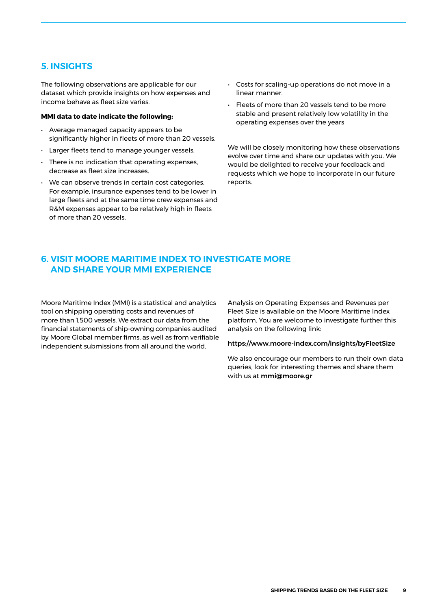### **5. INSIGHTS**

The following observations are applicable for our dataset which provide insights on how expenses and income behave as fleet size varies.

#### **MMI data to date indicate the following:**

- Average managed capacity appears to be significantly higher in fleets of more than 20 vessels.
- Larger fleets tend to manage younger vessels.
- There is no indication that operating expenses, decrease as fleet size increases.
- We can observe trends in certain cost categories. For example, insurance expenses tend to be lower in large fleets and at the same time crew expenses and R&M expenses appear to be relatively high in fleets of more than 20 vessels.
- Costs for scaling-up operations do not move in a linear manner.
- Fleets of more than 20 vessels tend to be more stable and present relatively low volatility in the operating expenses over the years

We will be closely monitoring how these observations evolve over time and share our updates with you. We would be delighted to receive your feedback and requests which we hope to incorporate in our future reports.

### **6. VISIT MOORE MARITIME INDEX TO INVESTIGATE MORE AND SHARE YOUR MMI EXPERIENCE**

Moore Maritime Index (MMI) is a statistical and analytics tool on shipping operating costs and revenues of more than 1,500 vessels. We extract our data from the financial statements of ship-owning companies audited by Moore Global member firms, as well as from verifiable independent submissions from all around the world.

Analysis on Operating Expenses and Revenues per Fleet Size is available on the Moore Maritime Index platform. You are welcome to investigate further this analysis on the following link:

#### https://www.moore-index.com/insights/byFleetSize

We also encourage our members to run their own data queries, look for interesting themes and share them with us at [mmi@moore.gr](mailto:mmi%40moore.gr?subject=)